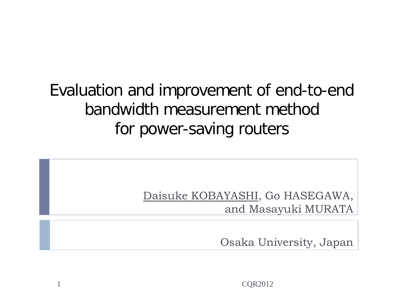## Evaluation and improvement of end-to-end bandwidth measurement method for power-saving routers

Daisuke KOBAYASHI, Go HASEGAWA, and Masayuki MURATA

Osaka University, Japan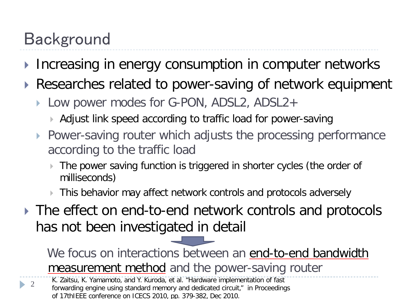# Background

- Increasing in energy consumption in computer networks
- ▶ Researches related to power-saving of network equipment
	- Low power modes for G-PON, ADSL2, ADSL2+
		- Adjust link speed according to traffic load for power-saving
	- ▶ Power-saving router which adjusts the processing performance according to the traffic load
		- The power saving function is triggered in shorter cycles (the order of milliseconds)
		- **This behavior may affect network controls and protocols adversely**
- ▶ The effect on end-to-end network controls and protocols has not been investigated in detail

We focus on interactions between an end-to-end bandwidth measurement method and the power-saving router

2 K. Zaitsu, K. Yamamoto, and Y. Kuroda, et al. "Hardware implementation of fast forwarding engine using standard memory and dedicated circuit," in Proceedings of 17thIEEE conference on ICECS 2010, pp. 379-382, Dec 2010.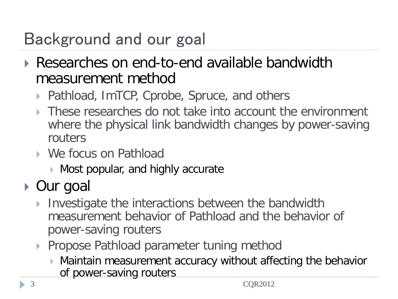# Background and our goal

- ▶ Researches on end-to-end available bandwidth measurement method
	- Pathload, ImTCP, Cprobe, Spruce, and others
	- **These researches do not take into account the environment** where the physical link bandwidth changes by power-saving routers
	- We focus on Pathload
		- Most popular, and highly accurate

### ▶ Our goal

3

- Investigate the interactions between the bandwidth measurement behavior of Pathload and the behavior of power-saving routers
- ▶ Propose Pathload parameter tuning method
	- Maintain measurement accuracy without affecting the behavior of power-saving routers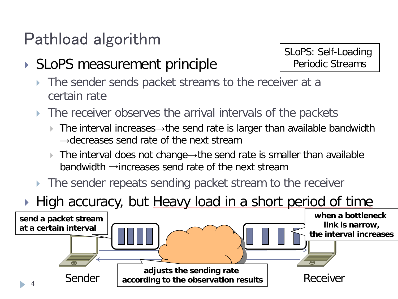## Pathload algorithm

#### ▶ SLoPS measurement principle

SLoPS: Self-Loading Periodic Streams

- The sender sends packet streams to the receiver at a certain rate
- The receiver observes the arrival intervals of the packets
	- The interval increases→the send rate is larger than available bandwidth  $\rightarrow$ decreases send rate of the next stream
	- The interval does not change→the send rate is smaller than available bandwidth →increases send rate of the next stream
- The sender repeats sending packet stream to the receiver

#### High accuracy, but Heavy load in a short period of time

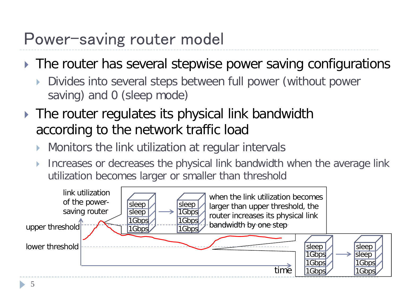#### Power-saving router model

- ▶ The router has several stepwise power saving configurations
	- Divides into several steps between full power (without power saving) and 0 (sleep mode)
- **The router regulates its physical link bandwidth** according to the network traffic load
	- Monitors the link utilization at regular intervals
	- Increases or decreases the physical link bandwidth when the average link utilization becomes larger or smaller than threshold

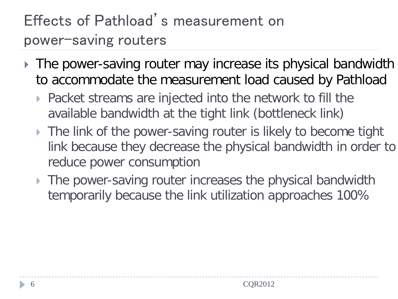# Effects of Pathload's measurement on power-saving routers

- ▶ The power-saving router may increase its physical bandwidth to accommodate the measurement load caused by Pathload
	- ▶ Packet streams are injected into the network to fill the available bandwidth at the tight link (bottleneck link)
	- The link of the power-saving router is likely to become tight link because they decrease the physical bandwidth in order to reduce power consumption
	- The power-saving router increases the physical bandwidth temporarily because the link utilization approaches 100%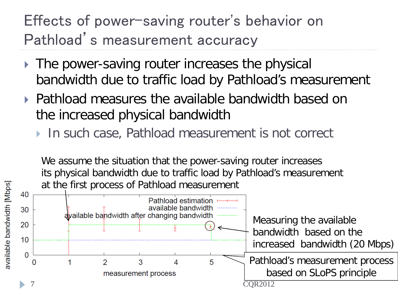### Effects of power-saving router's behavior on Pathload's measurement accuracy

- ▶ The power-saving router increases the physical bandwidth due to traffic load by Pathload's measurement
- Pathload measures the available bandwidth based on the increased physical bandwidth
	- ▶ In such case, Pathload measurement is not correct

available bandwidth [Mbps]

We assume the situation that the power-saving router increases its physical bandwidth due to traffic load by Pathload's measurement at the first process of Pathload measurement

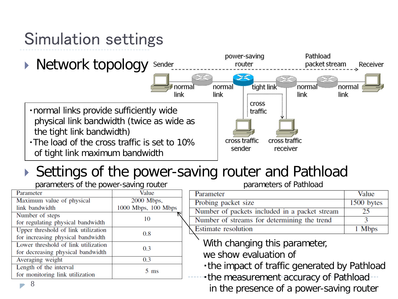# Simulation settings



#### ▶ Settings of the power-saving router and Pathload

| parameters of the power-saving router |                     |
|---------------------------------------|---------------------|
| Parameter                             | Value               |
| Maximum value of physical             | 2000 Mbps,          |
| link bandwidth                        | 1000 Mbps, 100 Mbps |
| Number of steps                       | 10                  |
| for regulating physical bandwidth     |                     |
| Upper threshold of link utilization   | 0.8                 |
| for increasing physical bandwidth     |                     |
| Lower threshold of link utilization   | 0.3                 |
| for decreasing physical bandwidth     |                     |
| Averaging weight                      | 0.3                 |
| Length of the interval                | 5 <sub>ms</sub>     |
| for monitoring link utilization       |                     |

8

parameters of Pathload

| Parameter                                     | Value      |
|-----------------------------------------------|------------|
| Probing packet size                           | 1500 bytes |
| Number of packets included in a packet stream | 25         |
| Number of streams for determining the trend   |            |
| <b>Estimate resolution</b>                    | 1 Mbps     |

With changing this parameter,

we show evaluation of

・the impact of traffic generated by Pathload

・the measurement accuracy of Pathload in the presence of a power-saving router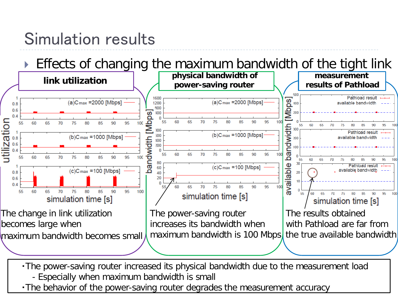## Simulation results

Effects of changing the maximum bandwidth of the tight link



・The power-saving router increased its physical bandwidth due to the measurement load - Especially when maximum bandwidth is small

. The behavior of the power-saving router degrades the measurement accuracy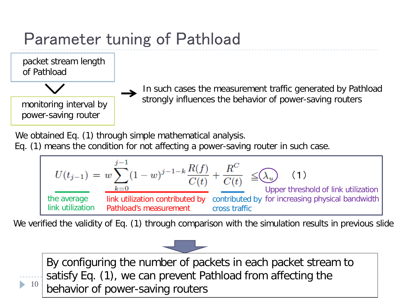# Parameter tuning of Pathload



monitoring interval by power-saving router

 In such cases the measurement traffic generated by Pathload strongly influences the behavior of power-saving routers

We obtained Eq. (1) through simple mathematical analysis.

Eq. (1) means the condition for not affecting a power-saving router in such case.

$$
U(t_{j-1}) = w \sum_{k=0}^{j-1} (1-w)^{j-1-k} \frac{R(f)}{C(t)} + \frac{R^C}{C(t)} \leq \text{(1)}
$$
 (1)  
the average link utilization contributed by contributed by for increasing physical bandwidth link utilization Pathload's measurement cross traffic

We verified the validity of Eq. (1) through comparison with the simulation results in previous slide